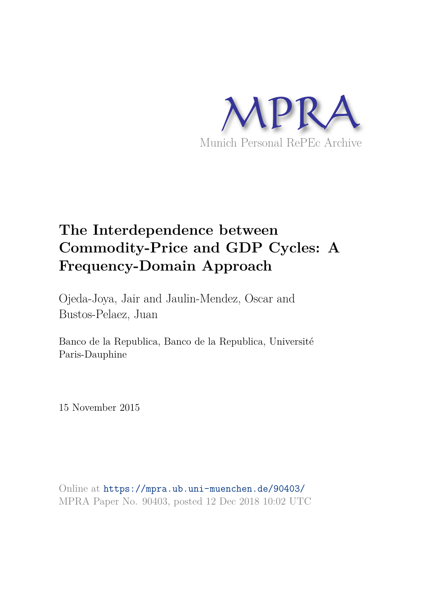

# **The Interdependence between Commodity-Price and GDP Cycles: A Frequency-Domain Approach**

Ojeda-Joya, Jair and Jaulin-Mendez, Oscar and Bustos-Pelaez, Juan

Banco de la Republica, Banco de la Republica, Université Paris-Dauphine

15 November 2015

Online at https://mpra.ub.uni-muenchen.de/90403/ MPRA Paper No. 90403, posted 12 Dec 2018 10:02 UTC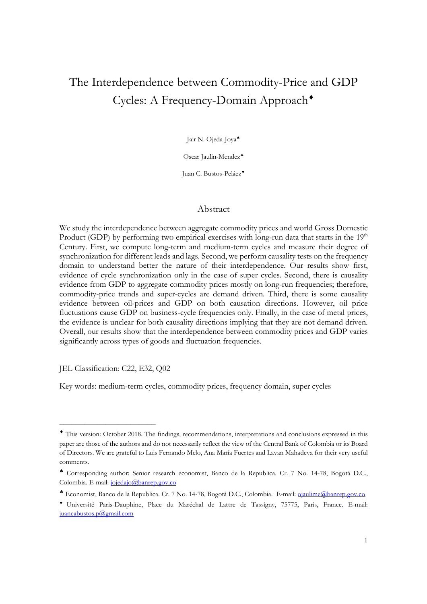## The Interdependence between Commodity-Price and GDP Cycles: A Frequency-Domain Approach

Jair N. Ojeda-Joya

Oscar Jaulin-Mendez

Juan C. Bustos-Peláez

#### Abstract

We study the interdependence between aggregate commodity prices and world Gross Domestic Product (GDP) by performing two empirical exercises with long-run data that starts in the  $19<sup>th</sup>$ Century. First, we compute long-term and medium-term cycles and measure their degree of synchronization for different leads and lags. Second, we perform causality tests on the frequency domain to understand better the nature of their interdependence. Our results show first, evidence of cycle synchronization only in the case of super cycles. Second, there is causality evidence from GDP to aggregate commodity prices mostly on long-run frequencies; therefore, commodity-price trends and super-cycles are demand driven. Third, there is some causality evidence between oil-prices and GDP on both causation directions. However, oil price fluctuations cause GDP on business-cycle frequencies only. Finally, in the case of metal prices, the evidence is unclear for both causality directions implying that they are not demand driven. Overall, our results show that the interdependence between commodity prices and GDP varies significantly across types of goods and fluctuation frequencies.

JEL Classification: C22, E32, Q02

\_\_\_\_\_\_\_\_\_\_\_\_\_\_\_\_\_\_\_\_\_\_\_

Key words: medium-term cycles, commodity prices, frequency domain, super cycles

This version: October 2018. The findings, recommendations, interpretations and conclusions expressed in this paper are those of the authors and do not necessarily reflect the view of the Central Bank of Colombia or its Board of Directors. We are grateful to Luis Fernando Melo, Ana María Fuertes and Lavan Mahadeva for their very useful comments.

Corresponding author: Senior research economist, Banco de la Republica. Cr. 7 No. 14-78, Bogotá D.C., Colombia. E-mail: jojedajo@banrep.gov.co

Economist, Banco de la Republica. Cr. 7 No. 14-78, Bogotá D.C., Colombia. E-mail: ojaulime@banrep.gov.co

Université Paris-Dauphine, Place du Maréchal de Lattre de Tassigny, 75775, Paris, France. E-mail: juancabustos.p@gmail.com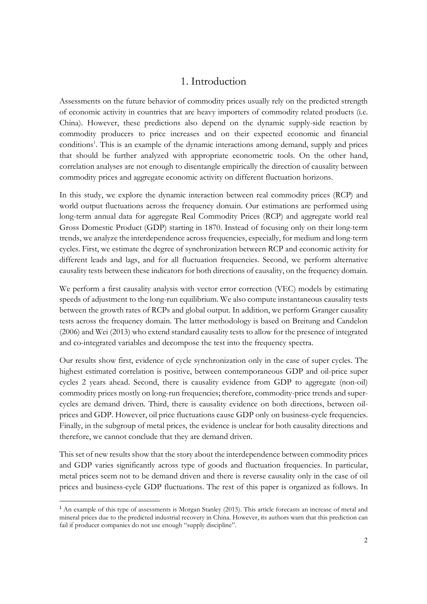## 1. Introduction

Assessments on the future behavior of commodity prices usually rely on the predicted strength of economic activity in countries that are heavy importers of commodity related products (i.e. China). However, these predictions also depend on the dynamic supply-side reaction by commodity producers to price increases and on their expected economic and financial conditions<sup>1</sup>. This is an example of the dynamic interactions among demand, supply and prices that should be further analyzed with appropriate econometric tools. On the other hand, correlation analyses are not enough to disentangle empirically the direction of causality between commodity prices and aggregate economic activity on different fluctuation horizons.

In this study, we explore the dynamic interaction between real commodity prices (RCP) and world output fluctuations across the frequency domain. Our estimations are performed using long-term annual data for aggregate Real Commodity Prices (RCP) and aggregate world real Gross Domestic Product (GDP) starting in 1870. Instead of focusing only on their long-term trends, we analyze the interdependence across frequencies, especially, for medium and long-term cycles. First, we estimate the degree of synchronization between RCP and economic activity for different leads and lags, and for all fluctuation frequencies. Second, we perform alternative causality tests between these indicators for both directions of causality, on the frequency domain.

We perform a first causality analysis with vector error correction (VEC) models by estimating speeds of adjustment to the long-run equilibrium. We also compute instantaneous causality tests between the growth rates of RCPs and global output. In addition, we perform Granger causality tests across the frequency domain. The latter methodology is based on Breitung and Candelon (2006) and Wei (2013) who extend standard causality tests to allow for the presence of integrated and co-integrated variables and decompose the test into the frequency spectra.

Our results show first, evidence of cycle synchronization only in the case of super cycles. The highest estimated correlation is positive, between contemporaneous GDP and oil-price super cycles 2 years ahead. Second, there is causality evidence from GDP to aggregate (non-oil) commodity prices mostly on long-run frequencies; therefore, commodity-price trends and supercycles are demand driven. Third, there is causality evidence on both directions, between oilprices and GDP. However, oil price fluctuations cause GDP only on business-cycle frequencies. Finally, in the subgroup of metal prices, the evidence is unclear for both causality directions and therefore, we cannot conclude that they are demand driven.

This set of new results show that the story about the interdependence between commodity prices and GDP varies significantly across type of goods and fluctuation frequencies. In particular, metal prices seem not to be demand driven and there is reverse causality only in the case of oil prices and business-cycle GDP fluctuations. The rest of this paper is organized as follows. In

<u>.</u>

<sup>&</sup>lt;sup>1</sup> An example of this type of assessments is Morgan Stanley (2015). This article forecasts an increase of metal and mineral prices due to the predicted industrial recovery in China. However, its authors warn that this prediction can fail if producer companies do not use enough "supply discipline".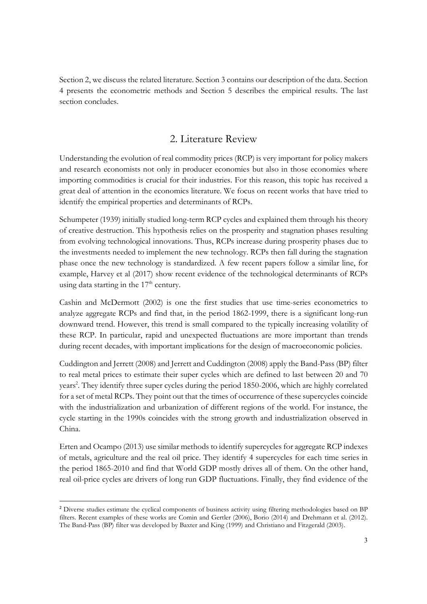Section 2, we discuss the related literature. Section 3 contains our description of the data. Section 4 presents the econometric methods and Section 5 describes the empirical results. The last section concludes.

## 2. Literature Review

Understanding the evolution of real commodity prices (RCP) is very important for policy makers and research economists not only in producer economies but also in those economies where importing commodities is crucial for their industries. For this reason, this topic has received a great deal of attention in the economics literature. We focus on recent works that have tried to identify the empirical properties and determinants of RCPs.

Schumpeter (1939) initially studied long-term RCP cycles and explained them through his theory of creative destruction. This hypothesis relies on the prosperity and stagnation phases resulting from evolving technological innovations. Thus, RCPs increase during prosperity phases due to the investments needed to implement the new technology. RCPs then fall during the stagnation phase once the new technology is standardized. A few recent papers follow a similar line, for example, Harvey et al (2017) show recent evidence of the technological determinants of RCPs using data starting in the  $17<sup>th</sup>$  century.

Cashin and McDermott (2002) is one the first studies that use time-series econometrics to analyze aggregate RCPs and find that, in the period 1862-1999, there is a significant long-run downward trend. However, this trend is small compared to the typically increasing volatility of these RCP. In particular, rapid and unexpected fluctuations are more important than trends during recent decades, with important implications for the design of macroeconomic policies.

Cuddington and Jerrett (2008) and Jerrett and Cuddington (2008) apply the Band-Pass (BP) filter to real metal prices to estimate their super cycles which are defined to last between 20 and 70 years<sup>2</sup>. They identify three super cycles during the period 1850-2006, which are highly correlated for a set of metal RCPs. They point out that the times of occurrence of these supercycles coincide with the industrialization and urbanization of different regions of the world. For instance, the cycle starting in the 1990s coincides with the strong growth and industrialization observed in China.

Erten and Ocampo (2013) use similar methods to identify supercycles for aggregate RCP indexes of metals, agriculture and the real oil price. They identify 4 supercycles for each time series in the period 1865-2010 and find that World GDP mostly drives all of them. On the other hand, real oil-price cycles are drivers of long run GDP fluctuations. Finally, they find evidence of the

<u>.</u>

<sup>2</sup> Diverse studies estimate the cyclical components of business activity using filtering methodologies based on BP filters. Recent examples of these works are Comin and Gertler (2006), Borio (2014) and Drehmann et al. (2012). The Band-Pass (BP) filter was developed by Baxter and King (1999) and Christiano and Fitzgerald (2003).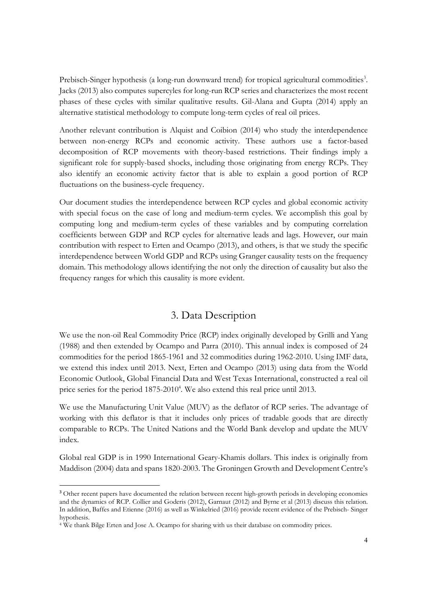Prebisch-Singer hypothesis (a long-run downward trend) for tropical agricultural commodities<sup>3</sup>. Jacks (2013) also computes supercyles for long-run RCP series and characterizes the most recent phases of these cycles with similar qualitative results. Gil-Alana and Gupta (2014) apply an alternative statistical methodology to compute long-term cycles of real oil prices.

Another relevant contribution is Alquist and Coibion (2014) who study the interdependence between non-energy RCPs and economic activity. These authors use a factor-based decomposition of RCP movements with theory-based restrictions. Their findings imply a significant role for supply-based shocks, including those originating from energy RCPs. They also identify an economic activity factor that is able to explain a good portion of RCP fluctuations on the business-cycle frequency.

Our document studies the interdependence between RCP cycles and global economic activity with special focus on the case of long and medium-term cycles. We accomplish this goal by computing long and medium-term cycles of these variables and by computing correlation coefficients between GDP and RCP cycles for alternative leads and lags. However, our main contribution with respect to Erten and Ocampo (2013), and others, is that we study the specific interdependence between World GDP and RCPs using Granger causality tests on the frequency domain. This methodology allows identifying the not only the direction of causality but also the frequency ranges for which this causality is more evident.

## 3. Data Description

We use the non-oil Real Commodity Price (RCP) index originally developed by Grilli and Yang (1988) and then extended by Ocampo and Parra (2010). This annual index is composed of 24 commodities for the period 1865-1961 and 32 commodities during 1962-2010. Using IMF data, we extend this index until 2013. Next, Erten and Ocampo (2013) using data from the World Economic Outlook, Global Financial Data and West Texas International, constructed a real oil price series for the period 1875-2010<sup>4</sup>. We also extend this real price until 2013.

We use the Manufacturing Unit Value (MUV) as the deflator of RCP series. The advantage of working with this deflator is that it includes only prices of tradable goods that are directly comparable to RCPs. The United Nations and the World Bank develop and update the MUV index.

Global real GDP is in 1990 International Geary-Khamis dollars. This index is originally from Maddison (2004) data and spans 1820-2003. The Groningen Growth and Development Centre's

<u>.</u>

<sup>&</sup>lt;sup>3</sup> Other recent papers have documented the relation between recent high-growth periods in developing economies and the dynamics of RCP. Collier and Goderis (2012), Garnaut (2012) and Byrne et al (2013) discuss this relation. In addition, Baffes and Etienne (2016) as well as Winkelried (2016) provide recent evidence of the Prebisch- Singer hypothesis.

<sup>4</sup> We thank Bilge Erten and Jose A. Ocampo for sharing with us their database on commodity prices.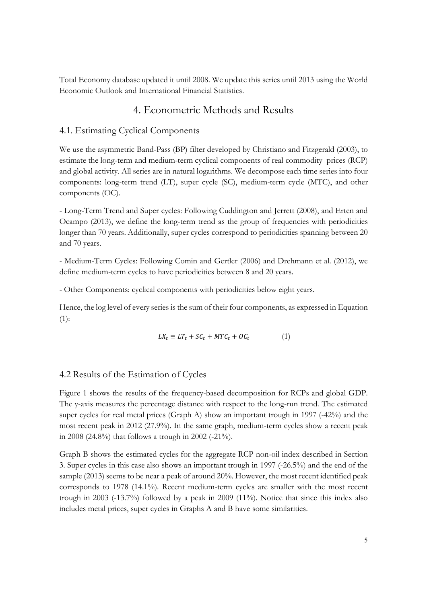Total Economy database updated it until 2008. We update this series until 2013 using the World Economic Outlook and International Financial Statistics.

## 4. Econometric Methods and Results

#### 4.1. Estimating Cyclical Components

We use the asymmetric Band-Pass (BP) filter developed by Christiano and Fitzgerald (2003), to estimate the long-term and medium-term cyclical components of real commodity prices (RCP) and global activity. All series are in natural logarithms. We decompose each time series into four components: long-term trend (LT), super cycle (SC), medium-term cycle (MTC), and other components (OC).

- Long-Term Trend and Super cycles: Following Cuddington and Jerrett (2008), and Erten and Ocampo (2013), we define the long-term trend as the group of frequencies with periodicities longer than 70 years. Additionally, super cycles correspond to periodicities spanning between 20 and 70 years.

- Medium-Term Cycles: Following Comin and Gertler (2006) and Drehmann et al. (2012), we define medium-term cycles to have periodicities between 8 and 20 years.

- Other Components: cyclical components with periodicities below eight years.

Hence, the log level of every series is the sum of their four components, as expressed in Equation (1):

$$
LX_t \equiv LT_t + SC_t + MTC_t + OC_t \tag{1}
$$

#### 4.2 Results of the Estimation of Cycles

Figure 1 shows the results of the frequency-based decomposition for RCPs and global GDP. The y-axis measures the percentage distance with respect to the long-run trend. The estimated super cycles for real metal prices (Graph A) show an important trough in 1997 (-42%) and the most recent peak in 2012 (27.9%). In the same graph, medium-term cycles show a recent peak in 2008 (24.8%) that follows a trough in 2002 (-21%).

Graph B shows the estimated cycles for the aggregate RCP non-oil index described in Section 3. Super cycles in this case also shows an important trough in 1997 (-26.5%) and the end of the sample (2013) seems to be near a peak of around 20%. However, the most recent identified peak corresponds to 1978 (14.1%). Recent medium-term cycles are smaller with the most recent trough in 2003 (-13.7%) followed by a peak in 2009 (11%). Notice that since this index also includes metal prices, super cycles in Graphs A and B have some similarities.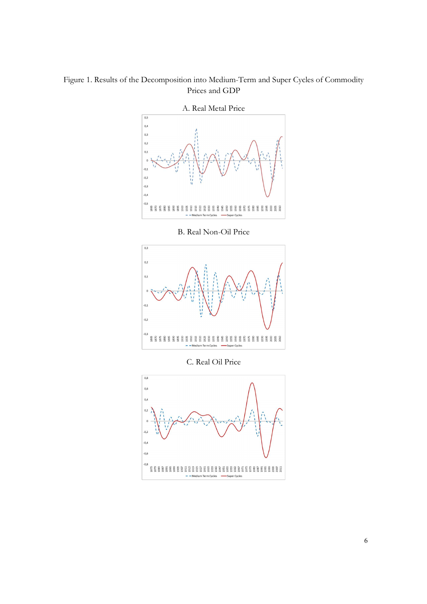## Figure 1. Results of the Decomposition into Medium-Term and Super Cycles of Commodity Prices and GDP



B. Real Non-Oil Price



C. Real Oil Price

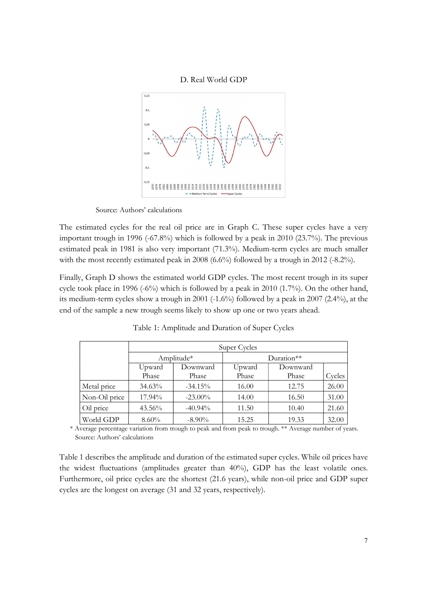



Source: Authors' calculations

The estimated cycles for the real oil price are in Graph C. These super cycles have a very important trough in 1996 (-67.8%) which is followed by a peak in 2010 (23.7%). The previous estimated peak in 1981 is also very important (71.3%). Medium-term cycles are much smaller with the most recently estimated peak in 2008 (6.6%) followed by a trough in 2012 (-8.2%).

Finally, Graph D shows the estimated world GDP cycles. The most recent trough in its super cycle took place in 1996 (-6%) which is followed by a peak in 2010 (1.7%). On the other hand, its medium-term cycles show a trough in 2001 (-1.6%) followed by a peak in 2007 (2.4%), at the end of the sample a new trough seems likely to show up one or two years ahead.

|               | Super Cycles |            |        |            |        |  |  |  |  |  |  |
|---------------|--------------|------------|--------|------------|--------|--|--|--|--|--|--|
|               |              | Amplitude* |        | Duration** |        |  |  |  |  |  |  |
|               | Upward       | Downward   | Upward | Downward   |        |  |  |  |  |  |  |
|               | Phase        | Phase      | Phase  | Phase      | Cycles |  |  |  |  |  |  |
| Metal price   | $34.63\%$    | $-34.15%$  | 16.00  | 12.75      | 26.00  |  |  |  |  |  |  |
| Non-Oil price | 17.94%       | $-23.00\%$ | 14.00  | 16.50      | 31.00  |  |  |  |  |  |  |
| Oil price     | $43.56\%$    | $-40.94%$  | 11.50  | 10.40      | 21.60  |  |  |  |  |  |  |
| World GDP     | $8.60\%$     | $-8.90\%$  | 15.25  | 19.33      | 32.00  |  |  |  |  |  |  |

Table 1: Amplitude and Duration of Super Cycles

 \* Average percentage variation from trough to peak and from peak to trough. \*\* Average number of years. Source: Authors' calculations

Table 1 describes the amplitude and duration of the estimated super cycles. While oil prices have the widest fluctuations (amplitudes greater than 40%), GDP has the least volatile ones. Furthermore, oil price cycles are the shortest (21.6 years), while non-oil price and GDP super cycles are the longest on average (31 and 32 years, respectively).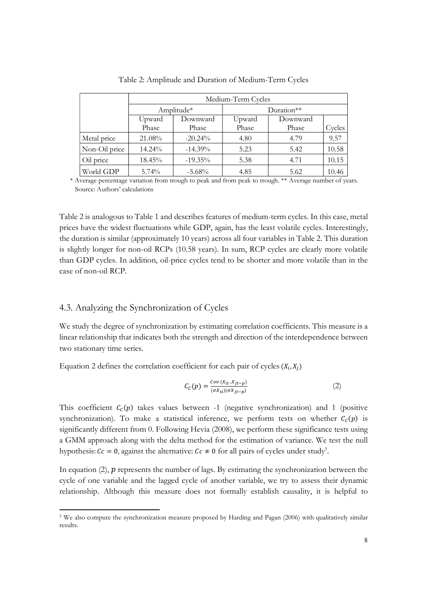|               | Medium-Term Cycles |                   |                 |                   |        |  |  |  |  |  |  |
|---------------|--------------------|-------------------|-----------------|-------------------|--------|--|--|--|--|--|--|
|               |                    | Amplitude*        |                 | $Duration**$      |        |  |  |  |  |  |  |
|               | Upward<br>Phase    | Downward<br>Phase | Upward<br>Phase | Downward<br>Phase | Cycles |  |  |  |  |  |  |
| Metal price   | 21.08%             | $-20.24\%$        | 4.80            | 4.79              | 9.57   |  |  |  |  |  |  |
| Non-Oil price | 14.24%             | $-14.39\%$        | 5.23            | 5.42              | 10.58  |  |  |  |  |  |  |
| Oil price     | 18.45%             | $-19.35\%$        | 5.38            | 4.71              | 10.15  |  |  |  |  |  |  |
| World GDP     | $5.74\%$           | $-5.68%$          | 4.85            | 5.62              | 10.46  |  |  |  |  |  |  |

Table 2: Amplitude and Duration of Medium-Term Cycles

 \* Average percentage variation from trough to peak and from peak to trough. \*\* Average number of years. Source: Authors' calculations

Table 2 is analogous to Table 1 and describes features of medium-term cycles. In this case, metal prices have the widest fluctuations while GDP, again, has the least volatile cycles. Interestingly, the duration is similar (approximately 10 years) across all four variables in Table 2. This duration is slightly longer for non-oil RCPs (10.58 years). In sum, RCP cycles are clearly more volatile than GDP cycles. In addition, oil-price cycles tend to be shorter and more volatile than in the case of non-oil RCP.

#### 4.3. Analyzing the Synchronization of Cycles

**.** 

We study the degree of synchronization by estimating correlation coefficients. This measure is a linear relationship that indicates both the strength and direction of the interdependence between two stationary time series.

Equation 2 defines the correlation coefficient for each pair of cycles  $(X_i, X_j)$ 

$$
C_C(p) = \frac{Cov(X_{it}, X_{jt-p})}{(\sigma X_{it})(\sigma X_{jt-p})}
$$
 (2)

This coefficient  $C_c(p)$  takes values between -1 (negative synchronization) and 1 (positive synchronization). To make a statistical inference, we perform tests on whether  $C_c(p)$  is significantly different from 0. Following Hevia (2008), we perform these significance tests using a GMM approach along with the delta method for the estimation of variance. We test the null hypothesis:  $Cc = 0$ , against the alternative:  $Cc \neq 0$  for all pairs of cycles under study<sup>5</sup>.

In equation (2),  $p$  represents the number of lags. By estimating the synchronization between the cycle of one variable and the lagged cycle of another variable, we try to assess their dynamic relationship. Although this measure does not formally establish causality, it is helpful to

<sup>5</sup> We also compute the synchronization measure proposed by Harding and Pagan (2006) with qualitatively similar results.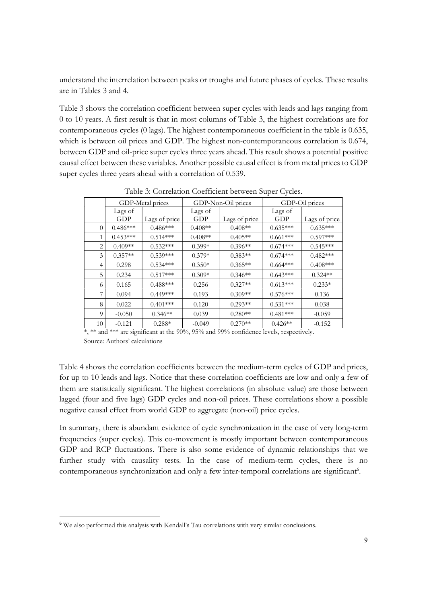understand the interrelation between peaks or troughs and future phases of cycles. These results are in Tables 3 and 4.

Table 3 shows the correlation coefficient between super cycles with leads and lags ranging from 0 to 10 years. A first result is that in most columns of Table 3, the highest correlations are for contemporaneous cycles (0 lags). The highest contemporaneous coefficient in the table is 0.635, which is between oil prices and GDP. The highest non-contemporaneous correlation is 0.674, between GDP and oil-price super cycles three years ahead. This result shows a potential positive causal effect between these variables. Another possible causal effect is from metal prices to GDP super cycles three years ahead with a correlation of 0.539.

|          |            | GDP-Metal prices |           | GDP-Non-Oil prices | GDP-Oil prices |               |  |  |  |
|----------|------------|------------------|-----------|--------------------|----------------|---------------|--|--|--|
|          | Lags of    |                  | Lags of   |                    | Lags of        |               |  |  |  |
|          | GDP        | Lags of price    | GDP       | Lags of price      | GDP            | Lags of price |  |  |  |
| $\Omega$ | $0.486***$ | $0.486***$       | $0.408**$ | $0.408**$          | $0.635***$     | $0.635***$    |  |  |  |
|          | $0.453***$ | $0.514***$       | $0.408**$ | $0.405**$          | $0.661***$     | $0.597***$    |  |  |  |
| 2        | $0.409**$  | $0.532***$       | $0.399*$  | $0.396**$          | $0.674***$     | $0.545***$    |  |  |  |
| 3        | $0.357**$  | $0.539***$       | $0.379*$  | $0.383**$          | $0.674***$     | $0.482***$    |  |  |  |
| 4        | 0.298      | $0.534***$       | $0.350*$  | $0.365**$          | $0.664***$     | $0.408***$    |  |  |  |
| 5        | 0.234      | $0.517***$       | $0.309*$  | $0.346**$          | $0.643***$     | $0.324**$     |  |  |  |
| 6        | 0.165      | $0.488***$       | 0.256     | $0.327**$          | $0.613***$     | $0.233*$      |  |  |  |
| 7        | 0.094      | $0.449***$       | 0.193     | $0.309**$          | $0.576***$     | 0.136         |  |  |  |
| 8        | 0.022      | $0.401***$       | 0.120     | $0.293**$          | $0.531***$     | 0.038         |  |  |  |
| 9        | $-0.050$   | $0.346**$        | 0.039     | $0.280**$          | $0.481***$     | $-0.059$      |  |  |  |
| 10       | $-0.121$   | $0.288*$         | $-0.049$  | $0.270**$          | $0.426**$      | $-0.152$      |  |  |  |

Table 3: Correlation Coefficient between Super Cycles.

\*, \*\* and \*\*\* are significant at the 90%, 95% and 99% confidence levels, respectively. Source: Authors' calculations

Table 4 shows the correlation coefficients between the medium-term cycles of GDP and prices, for up to 10 leads and lags. Notice that these correlation coefficients are low and only a few of them are statistically significant. The highest correlations (in absolute value) are those between lagged (four and five lags) GDP cycles and non-oil prices. These correlations show a possible negative causal effect from world GDP to aggregate (non-oil) price cycles.

In summary, there is abundant evidence of cycle synchronization in the case of very long-term frequencies (super cycles). This co-movement is mostly important between contemporaneous GDP and RCP fluctuations. There is also some evidence of dynamic relationships that we further study with causality tests. In the case of medium-term cycles, there is no contemporaneous synchronization and only a few inter-temporal correlations are significant<sup>6</sup>.

**.** 

<sup>6</sup> We also performed this analysis with Kendall's Tau correlations with very similar conclusions.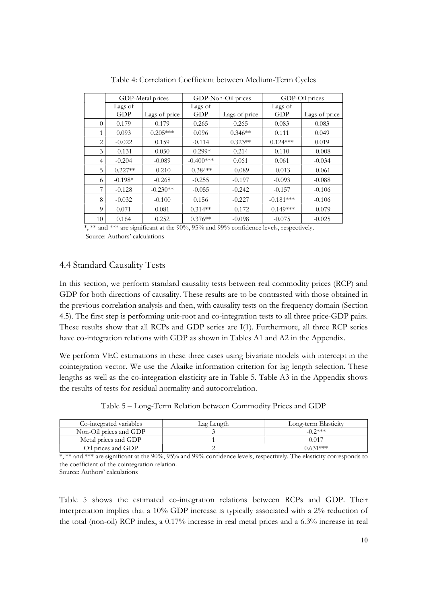|                |            | GDP-Metal prices |             | GDP-Non-Oil prices | GDP-Oil prices |               |  |  |  |
|----------------|------------|------------------|-------------|--------------------|----------------|---------------|--|--|--|
|                | Lags of    |                  | Lags of     |                    | Lags of        |               |  |  |  |
|                | <b>GDP</b> | Lags of price    | <b>GDP</b>  | Lags of price      | <b>GDP</b>     | Lags of price |  |  |  |
| $\overline{0}$ | 0.179      | 0.179            | 0.265       | 0.265              | 0.083          | 0.083         |  |  |  |
| 1              | 0.093      | $0.205***$       | 0.096       | $0.346**$          | 0.111          | 0.049         |  |  |  |
| 2              | $-0.022$   | 0.159            | $-0.114$    | $0.323**$          | $0.124***$     | 0.019         |  |  |  |
| 3              | $-0.131$   | 0.050            | $-0.299*$   | 0.214              | 0.110          | $-0.008$      |  |  |  |
| 4              | $-0.204$   | $-0.089$         | $-0.400***$ | 0.061              | 0.061          | $-0.034$      |  |  |  |
| 5              | $-0.227**$ | $-0.210$         | $-0.384**$  | $-0.089$           | $-0.013$       | $-0.061$      |  |  |  |
| 6              | $-0.198*$  | $-0.268$         | $-0.255$    | $-0.197$           | $-0.093$       | $-0.088$      |  |  |  |
|                | $-0.128$   | $-0.230**$       | $-0.055$    | $-0.242$           | $-0.157$       | $-0.106$      |  |  |  |
| 8              | $-0.032$   | $-0.100$         | 0.156       | $-0.227$           | $-0.181***$    | $-0.106$      |  |  |  |
| 9              | 0.071      | 0.081            | $0.314**$   | $-0.172$           | $-0.149***$    | $-0.079$      |  |  |  |
| 10             | 0.164      | 0.252            | $0.376**$   | $-0.098$           | $-0.075$       | $-0.025$      |  |  |  |

Table 4: Correlation Coefficient between Medium-Term Cycles

\*, \*\* and \*\*\* are significant at the 90%, 95% and 99% confidence levels, respectively.

Source: Authors' calculations

#### 4.4 Standard Causality Tests

In this section, we perform standard causality tests between real commodity prices (RCP) and GDP for both directions of causality. These results are to be contrasted with those obtained in the previous correlation analysis and then, with causality tests on the frequency domain (Section 4.5). The first step is performing unit-root and co-integration tests to all three price-GDP pairs. These results show that all RCPs and GDP series are I(1). Furthermore, all three RCP series have co-integration relations with GDP as shown in Tables A1 and A2 in the Appendix.

We perform VEC estimations in these three cases using bivariate models with intercept in the cointegration vector. We use the Akaike information criterion for lag length selection. These lengths as well as the co-integration elasticity are in Table 5. Table A3 in the Appendix shows the results of tests for residual normality and autocorrelation.

Table 5 – Long-Term Relation between Commodity Prices and GDP

| Co-integrated variables | Lag Length | Long-term Elasticity |
|-------------------------|------------|----------------------|
| Non-Oil prices and GDP  |            | $-0.2***$            |
| Metal prices and GDP    |            | 0.01′                |
| Oil prices and GDP      |            | $0.631***$           |

\*, \*\* and \*\*\* are significant at the 90%, 95% and 99% confidence levels, respectively. The elasticity corresponds to the coefficient of the cointegration relation.

Source: Authors' calculations

Table 5 shows the estimated co-integration relations between RCPs and GDP. Their interpretation implies that a 10% GDP increase is typically associated with a 2% reduction of the total (non-oil) RCP index, a 0.17% increase in real metal prices and a 6.3% increase in real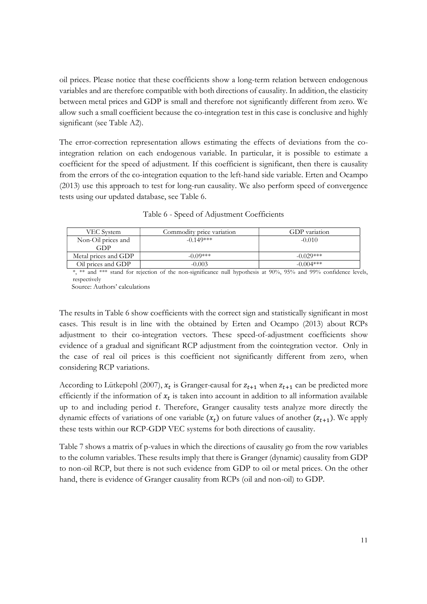oil prices. Please notice that these coefficients show a long-term relation between endogenous variables and are therefore compatible with both directions of causality. In addition, the elasticity between metal prices and GDP is small and therefore not significantly different from zero. We allow such a small coefficient because the co-integration test in this case is conclusive and highly significant (see Table A2).

The error-correction representation allows estimating the effects of deviations from the cointegration relation on each endogenous variable. In particular, it is possible to estimate a coefficient for the speed of adjustment. If this coefficient is significant, then there is causality from the errors of the co-integration equation to the left-hand side variable. Erten and Ocampo (2013) use this approach to test for long-run causality. We also perform speed of convergence tests using our updated database, see Table 6.

Table 6 - Speed of Adjustment Coefficients

| VEC System                | Commodity price variation | GDP variation |
|---------------------------|---------------------------|---------------|
| Non-Oil prices and<br>GDP | $-0.149***$               | $-0.010$      |
| Metal prices and GDP      | $-0.09***$                | $-0.029***$   |
| Oil prices and GDP        | $-0.003$                  | $-0.004$ ***  |

\*, \*\* and \*\*\* stand for rejection of the non-significance null hypothesis at 90%, 95% and 99% confidence levels, respectively

Source: Authors' calculations

The results in Table 6 show coefficients with the correct sign and statistically significant in most cases. This result is in line with the obtained by Erten and Ocampo (2013) about RCPs adjustment to their co-integration vectors. These speed-of-adjustment coefficients show evidence of a gradual and significant RCP adjustment from the cointegration vector. Only in the case of real oil prices is this coefficient not significantly different from zero, when considering RCP variations.

According to Lütkepohl (2007),  $x_t$  is Granger-causal for  $z_{t+1}$  when  $z_{t+1}$  can be predicted more efficiently if the information of  $x_t$  is taken into account in addition to all information available up to and including period t. Therefore, Granger causality tests analyze more directly the dynamic effects of variations of one variable  $(x_t)$  on future values of another  $(z_{t+1})$ . We apply these tests within our RCP-GDP VEC systems for both directions of causality.

Table 7 shows a matrix of p-values in which the directions of causality go from the row variables to the column variables. These results imply that there is Granger (dynamic) causality from GDP to non-oil RCP, but there is not such evidence from GDP to oil or metal prices. On the other hand, there is evidence of Granger causality from RCPs (oil and non-oil) to GDP.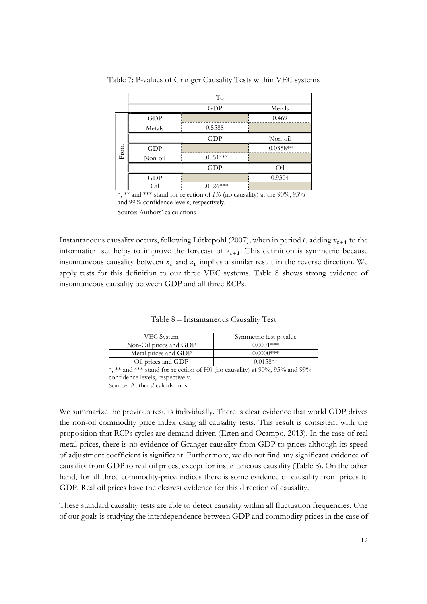|                                           |            | To          |                |
|-------------------------------------------|------------|-------------|----------------|
|                                           |            | GDP         | Metals         |
|                                           | <b>GDP</b> |             | 0.469          |
|                                           | Metals     | 0.5588      |                |
|                                           |            | GDP         | Non-oil        |
| $\ensuremath{\textnormal{\textbf{From}}}$ | <b>GDP</b> |             | $0.0358**$     |
|                                           | Non-oil    | $0.0051***$ |                |
|                                           |            | <b>GDP</b>  | O <sub>i</sub> |
|                                           | GDP        |             | 0.9304         |
|                                           | Оil        | $0.0026***$ |                |

Table 7: P-values of Granger Causality Tests within VEC systems

\*, \*\* and \*\*\* stand for rejection of  $H_0$  (no causality) at the 90%, 95% and 99% confidence levels, respectively.

Source: Authors' calculations

Instantaneous causality occurs, following Lütkepohl (2007), when in period t, adding  $x_{t+1}$  to the information set helps to improve the forecast of  $z_{t+1}$ . This definition is symmetric because instantaneous causality between  $x_t$  and  $z_t$  implies a similar result in the reverse direction. We apply tests for this definition to our three VEC systems. Table 8 shows strong evidence of instantaneous causality between GDP and all three RCPs.

Table 8 – Instantaneous Causality Test

| VEC System             | Symmetric test p-value |  |  |  |  |  |
|------------------------|------------------------|--|--|--|--|--|
| Non-Oil prices and GDP | $0.0001$ ***           |  |  |  |  |  |
| Metal prices and GDP   | 0.0000***              |  |  |  |  |  |
| Oil prices and GDP     | $0.0158**$             |  |  |  |  |  |

 $\overline{\ast}$ ,  $\overline{\ast}$  and  $\overline{\ast}$  stand for rejection of H0 (no causality) at 90%, 95% and 99% confidence levels, respectively. Source: Authors' calculations

We summarize the previous results individually. There is clear evidence that world GDP drives the non-oil commodity price index using all causality tests. This result is consistent with the proposition that RCPs cycles are demand driven (Erten and Ocampo, 2013). In the case of real metal prices, there is no evidence of Granger causality from GDP to prices although its speed of adjustment coefficient is significant. Furthermore, we do not find any significant evidence of causality from GDP to real oil prices, except for instantaneous causality (Table 8). On the other hand, for all three commodity-price indices there is some evidence of causality from prices to GDP. Real oil prices have the clearest evidence for this direction of causality.

These standard causality tests are able to detect causality within all fluctuation frequencies. One of our goals is studying the interdependence between GDP and commodity prices in the case of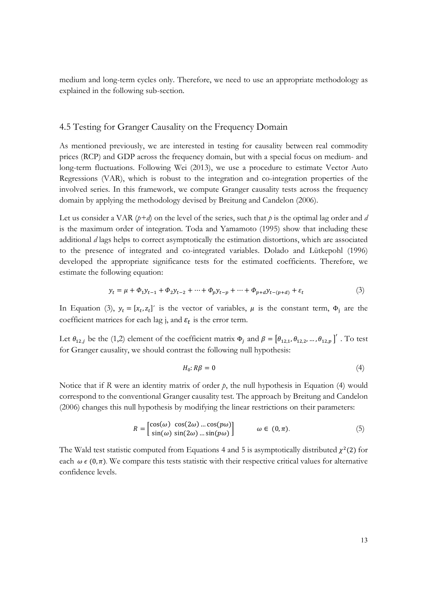medium and long-term cycles only. Therefore, we need to use an appropriate methodology as explained in the following sub-section.

#### 4.5 Testing for Granger Causality on the Frequency Domain

As mentioned previously, we are interested in testing for causality between real commodity prices (RCP) and GDP across the frequency domain, but with a special focus on medium- and long-term fluctuations. Following Wei (2013), we use a procedure to estimate Vector Auto Regressions (VAR), which is robust to the integration and co-integration properties of the involved series. In this framework, we compute Granger causality tests across the frequency domain by applying the methodology devised by Breitung and Candelon (2006).

Let us consider a VAR ( $p+d$ ) on the level of the series, such that p is the optimal lag order and d is the maximum order of integration. Toda and Yamamoto (1995) show that including these additional d lags helps to correct asymptotically the estimation distortions, which are associated to the presence of integrated and co-integrated variables. Dolado and Lütkepohl (1996) developed the appropriate significance tests for the estimated coefficients. Therefore, we estimate the following equation:

$$
y_t = \mu + \Phi_1 y_{t-1} + \Phi_2 y_{t-2} + \dots + \Phi_p y_{t-p} + \dots + \Phi_{p+d} y_{t-(p+d)} + \varepsilon_t \tag{3}
$$

In Equation (3),  $y_t = [x_t, z_t]'$  is the vector of variables,  $\mu$  is the constant term,  $\Phi_j$  are the coefficient matrices for each lag j, and  $\varepsilon_t$  is the error term.

Let  $\theta_{12,j}$  be the (1,2) element of the coefficient matrix  $\Phi_j$  and  $\beta = [\theta_{12,1}, \theta_{12,2}, ..., \theta_{12,p}]'$ . To test for Granger causality, we should contrast the following null hypothesis:

$$
H_0: R\beta = 0 \tag{4}
$$

Notice that if R were an identity matrix of order  $p$ , the null hypothesis in Equation (4) would correspond to the conventional Granger causality test. The approach by Breitung and Candelon (2006) changes this null hypothesis by modifying the linear restrictions on their parameters:

$$
R = \begin{bmatrix} \cos(\omega) & \cos(2\omega) \dots \cos(p\omega) \\ \sin(\omega) & \sin(2\omega) \dots \sin(p\omega) \end{bmatrix} \qquad \omega \in (0, \pi). \tag{5}
$$

The Wald test statistic computed from Equations 4 and 5 is asymptotically distributed  $\chi^2(2)$  for each  $\omega \in (0, \pi)$ . We compare this tests statistic with their respective critical values for alternative confidence levels.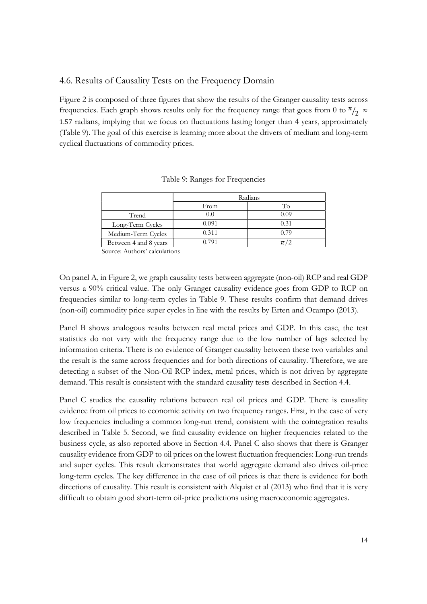#### 4.6. Results of Causality Tests on the Frequency Domain

Figure 2 is composed of three figures that show the results of the Granger causality tests across frequencies. Each graph shows results only for the frequency range that goes from 0 to  $\frac{\pi}{2} \approx$ 1.57 radians, implying that we focus on fluctuations lasting longer than 4 years, approximately (Table 9). The goal of this exercise is learning more about the drivers of medium and long-term cyclical fluctuations of commodity prices.

|                       | Radians |         |  |  |  |  |  |  |
|-----------------------|---------|---------|--|--|--|--|--|--|
|                       | From    | To      |  |  |  |  |  |  |
| Trend                 | 0.0     | 0.09    |  |  |  |  |  |  |
| Long-Term Cycles      | 0.091   | 0.31    |  |  |  |  |  |  |
| Medium-Term Cycles    | 0.311   | 0.79    |  |  |  |  |  |  |
| Between 4 and 8 years | 0.791   | $\pi/2$ |  |  |  |  |  |  |

Table 9: Ranges for Frequencies

Source: Authors' calculations

On panel A, in Figure 2, we graph causality tests between aggregate (non-oil) RCP and real GDP versus a 90% critical value. The only Granger causality evidence goes from GDP to RCP on frequencies similar to long-term cycles in Table 9. These results confirm that demand drives (non-oil) commodity price super cycles in line with the results by Erten and Ocampo (2013).

Panel B shows analogous results between real metal prices and GDP. In this case, the test statistics do not vary with the frequency range due to the low number of lags selected by information criteria. There is no evidence of Granger causality between these two variables and the result is the same across frequencies and for both directions of causality. Therefore, we are detecting a subset of the Non-Oil RCP index, metal prices, which is not driven by aggregate demand. This result is consistent with the standard causality tests described in Section 4.4.

Panel C studies the causality relations between real oil prices and GDP. There is causality evidence from oil prices to economic activity on two frequency ranges. First, in the case of very low frequencies including a common long-run trend, consistent with the cointegration results described in Table 5. Second, we find causality evidence on higher frequencies related to the business cycle, as also reported above in Section 4.4. Panel C also shows that there is Granger causality evidence from GDP to oil prices on the lowest fluctuation frequencies: Long-run trends and super cycles. This result demonstrates that world aggregate demand also drives oil-price long-term cycles. The key difference in the case of oil prices is that there is evidence for both directions of causality. This result is consistent with Alquist et al (2013) who find that it is very difficult to obtain good short-term oil-price predictions using macroeconomic aggregates.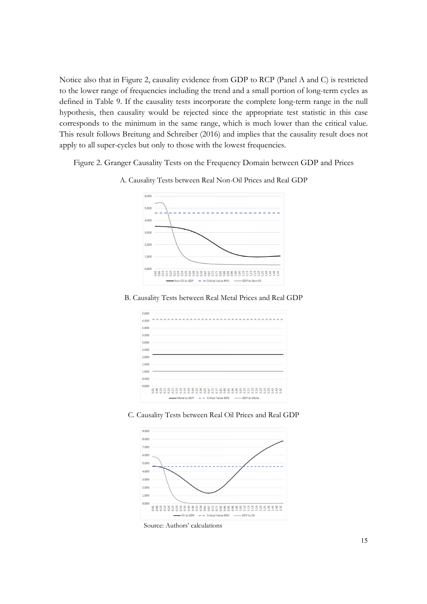Notice also that in Figure 2, causality evidence from GDP to RCP (Panel A and C) is restricted to the lower range of frequencies including the trend and a small portion of long-term cycles as defined in Table 9. If the causality tests incorporate the complete long-term range in the null hypothesis, then causality would be rejected since the appropriate test statistic in this case corresponds to the minimum in the same range, which is much lower than the critical value. This result follows Breitung and Schreiber (2016) and implies that the causality result does not apply to all super-cycles but only to those with the lowest frequencies.

Figure 2. Granger Causality Tests on the Frequency Domain between GDP and Prices



A. Causality Tests between Real Non-Oil Prices and Real GDP

B. Causality Tests between Real Metal Prices and Real GDP

| 5,000 |  |  |           |  |  |  |  |  |  |                                                   |  |  |  |  |  |  |  |
|-------|--|--|-----------|--|--|--|--|--|--|---------------------------------------------------|--|--|--|--|--|--|--|
| 4.500 |  |  |           |  |  |  |  |  |  |                                                   |  |  |  |  |  |  |  |
| 4.000 |  |  |           |  |  |  |  |  |  |                                                   |  |  |  |  |  |  |  |
| 3,500 |  |  |           |  |  |  |  |  |  |                                                   |  |  |  |  |  |  |  |
| 3,000 |  |  |           |  |  |  |  |  |  |                                                   |  |  |  |  |  |  |  |
| 2.500 |  |  |           |  |  |  |  |  |  |                                                   |  |  |  |  |  |  |  |
| 2,000 |  |  |           |  |  |  |  |  |  |                                                   |  |  |  |  |  |  |  |
| 1.500 |  |  |           |  |  |  |  |  |  |                                                   |  |  |  |  |  |  |  |
| 1,000 |  |  |           |  |  |  |  |  |  |                                                   |  |  |  |  |  |  |  |
| 0.500 |  |  |           |  |  |  |  |  |  |                                                   |  |  |  |  |  |  |  |
| 0.000 |  |  |           |  |  |  |  |  |  |                                                   |  |  |  |  |  |  |  |
|       |  |  | 588888883 |  |  |  |  |  |  | 38886558858313333333333                           |  |  |  |  |  |  |  |
|       |  |  |           |  |  |  |  |  |  | -Metal to GDP - Critical Value 90% - GDP to Metal |  |  |  |  |  |  |  |





Source: Authors' calculations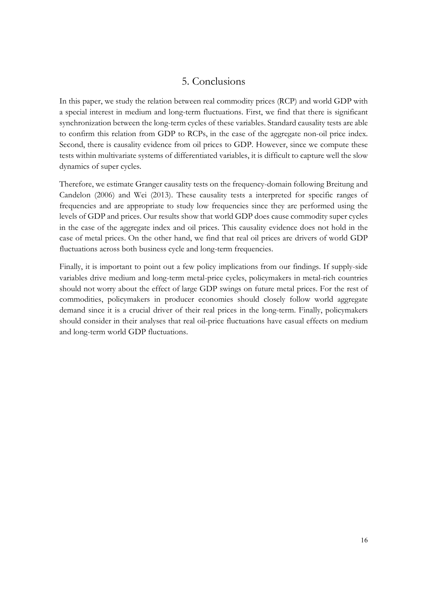## 5. Conclusions

In this paper, we study the relation between real commodity prices (RCP) and world GDP with a special interest in medium and long-term fluctuations. First, we find that there is significant synchronization between the long-term cycles of these variables. Standard causality tests are able to confirm this relation from GDP to RCPs, in the case of the aggregate non-oil price index. Second, there is causality evidence from oil prices to GDP. However, since we compute these tests within multivariate systems of differentiated variables, it is difficult to capture well the slow dynamics of super cycles.

Therefore, we estimate Granger causality tests on the frequency-domain following Breitung and Candelon (2006) and Wei (2013). These causality tests a interpreted for specific ranges of frequencies and are appropriate to study low frequencies since they are performed using the levels of GDP and prices. Our results show that world GDP does cause commodity super cycles in the case of the aggregate index and oil prices. This causality evidence does not hold in the case of metal prices. On the other hand, we find that real oil prices are drivers of world GDP fluctuations across both business cycle and long-term frequencies.

Finally, it is important to point out a few policy implications from our findings. If supply-side variables drive medium and long-term metal-price cycles, policymakers in metal-rich countries should not worry about the effect of large GDP swings on future metal prices. For the rest of commodities, policymakers in producer economies should closely follow world aggregate demand since it is a crucial driver of their real prices in the long-term. Finally, policymakers should consider in their analyses that real oil-price fluctuations have casual effects on medium and long-term world GDP fluctuations.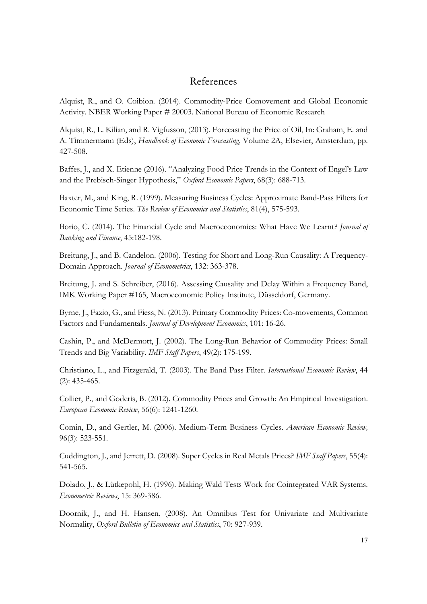### References

Alquist, R., and O. Coibion. (2014). Commodity-Price Comovement and Global Economic Activity. NBER Working Paper # 20003. National Bureau of Economic Research

Alquist, R., L. Kilian, and R. Vigfusson, (2013). Forecasting the Price of Oil, In: Graham, E. and A. Timmermann (Eds), Handbook of Economic Forecasting, Volume 2A, Elsevier, Amsterdam, pp. 427-508.

Baffes, J., and X. Etienne (2016). "Analyzing Food Price Trends in the Context of Engel's Law and the Prebisch-Singer Hypothesis," Oxford Economic Papers, 68(3): 688-713.

Baxter, M., and King, R. (1999). Measuring Business Cycles: Approximate Band-Pass Filters for Economic Time Series. The Review of Economics and Statistics, 81(4), 575-593.

Borio, C. (2014). The Financial Cycle and Macroeconomics: What Have We Learnt? Journal of Banking and Finance, 45:182-198.

Breitung, J., and B. Candelon. (2006). Testing for Short and Long-Run Causality: A Frequency-Domain Approach. Journal of Econometrics, 132: 363-378.

Breitung, J. and S. Schreiber, (2016). Assessing Causality and Delay Within a Frequency Band, IMK Working Paper #165, Macroeconomic Policy Institute, Düsseldorf, Germany.

Byrne, J., Fazio, G., and Fiess, N. (2013). Primary Commodity Prices: Co-movements, Common Factors and Fundamentals. Journal of Development Economics, 101: 16-26.

Cashin, P., and McDermott, J. (2002). The Long-Run Behavior of Commodity Prices: Small Trends and Big Variability. IMF Staff Papers, 49(2): 175-199.

Christiano, L., and Fitzgerald, T. (2003). The Band Pass Filter. International Economic Review, 44 (2): 435-465.

Collier, P., and Goderis, B. (2012). Commodity Prices and Growth: An Empirical Investigation. European Economic Review, 56(6): 1241-1260.

Comin, D., and Gertler, M. (2006). Medium-Term Business Cycles. American Economic Review, 96(3): 523-551.

Cuddington, J., and Jerrett, D. (2008). Super Cycles in Real Metals Prices? IMF Staff Papers, 55(4): 541-565.

Dolado, J., & Lütkepohl, H. (1996). Making Wald Tests Work for Cointegrated VAR Systems. Econometric Reviews, 15: 369-386.

Doornik, J., and H. Hansen, (2008). An Omnibus Test for Univariate and Multivariate Normality, Oxford Bulletin of Economics and Statistics, 70: 927-939.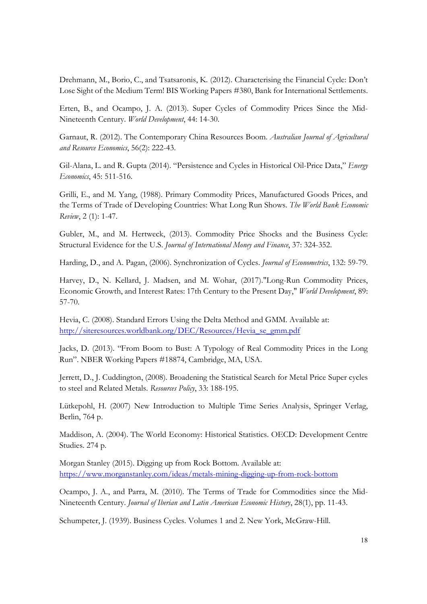Drehmann, M., Borio, C., and Tsatsaronis, K. (2012). Characterising the Financial Cycle: Don't Lose Sight of the Medium Term! BIS Working Papers #380, Bank for International Settlements.

Erten, B., and Ocampo, J. A. (2013). Super Cycles of Commodity Prices Since the Mid-Nineteenth Century. World Development, 44: 14-30.

Garnaut, R. (2012). The Contemporary China Resources Boom. Australian Journal of Agricultural and Resource Economics, 56(2): 222-43.

Gil-Alana, L. and R. Gupta (2014). "Persistence and Cycles in Historical Oil-Price Data," Energy Economics, 45: 511-516.

Grilli, E., and M. Yang, (1988). Primary Commodity Prices, Manufactured Goods Prices, and the Terms of Trade of Developing Countries: What Long Run Shows. The World Bank Economic Review, 2 (1): 1-47.

Gubler, M., and M. Hertweck, (2013). Commodity Price Shocks and the Business Cycle: Structural Evidence for the U.S. Journal of International Money and Finance, 37: 324-352.

Harding, D., and A. Pagan, (2006). Synchronization of Cycles. *Journal of Econometrics*, 132: 59-79.

Harvey, D., N. Kellard, J. Madsen, and M. Wohar, (2017)."Long-Run Commodity Prices, Economic Growth, and Interest Rates: 17th Century to the Present Day," World Development, 89: 57-70.

Hevia, C. (2008). Standard Errors Using the Delta Method and GMM. Available at: http://siteresources.worldbank.org/DEC/Resources/Hevia\_se\_gmm.pdf

Jacks, D. (2013). "From Boom to Bust: A Typology of Real Commodity Prices in the Long Run". NBER Working Papers #18874, Cambridge, MA, USA.

Jerrett, D., J. Cuddington, (2008). Broadening the Statistical Search for Metal Price Super cycles to steel and Related Metals. Resources Policy, 33: 188-195.

Lütkepohl, H. (2007) New Introduction to Multiple Time Series Analysis, Springer Verlag, Berlin, 764 p.

Maddison, A. (2004). The World Economy: Historical Statistics. OECD: Development Centre Studies. 274 p.

Morgan Stanley (2015). Digging up from Rock Bottom. Available at: https://www.morganstanley.com/ideas/metals-mining-digging-up-from-rock-bottom

Ocampo, J. A., and Parra, M. (2010). The Terms of Trade for Commodities since the Mid-Nineteenth Century. Journal of Iberian and Latin American Economic History, 28(1), pp. 11-43.

Schumpeter, J. (1939). Business Cycles. Volumes 1 and 2. New York, McGraw-Hill.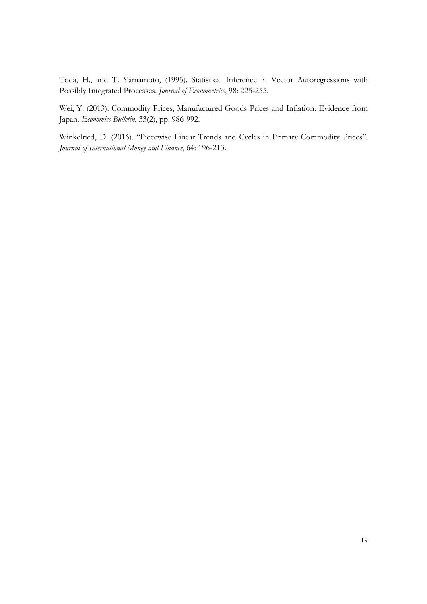Toda, H., and T. Yamamoto, (1995). Statistical Inference in Vector Autoregressions with Possibly Integrated Processes. Journal of Econometrics, 98: 225-255.

Wei, Y. (2013). Commodity Prices, Manufactured Goods Prices and Inflation: Evidence from Japan. Economics Bulletin, 33(2), pp. 986-992.

Winkelried, D. (2016). "Piecewise Linear Trends and Cycles in Primary Commodity Prices", Journal of International Money and Finance, 64: 196-213.